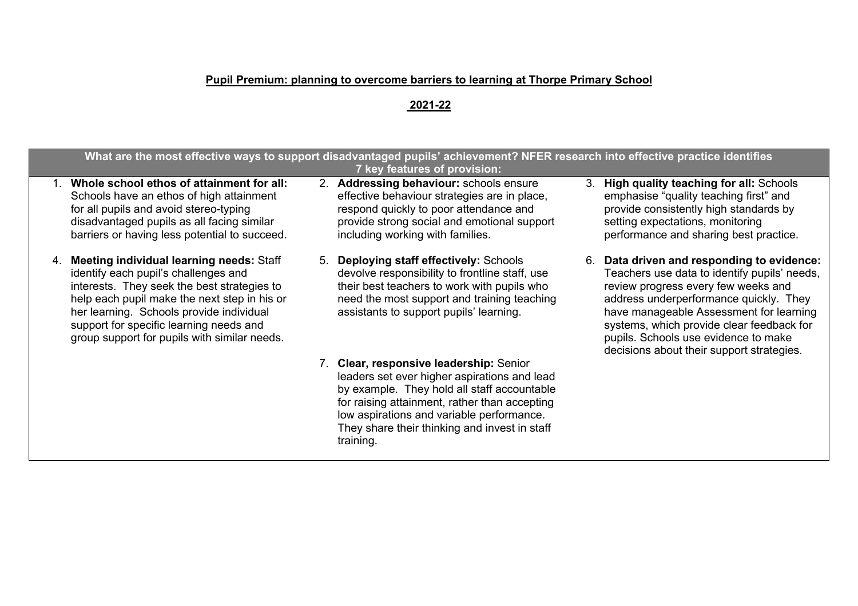## **Pupil Premium: planning to overcome barriers to learning at Thorpe Primary School**

## **2021-22**

|                                                                                                                                                                                                                                                                                                                           | What are the most effective ways to support disadvantaged pupils' achievement? NFER research into effective practice identifies<br>7 key features of provision:                                                                    |                                                                                                                                                                                                                                                                                                                                                          |
|---------------------------------------------------------------------------------------------------------------------------------------------------------------------------------------------------------------------------------------------------------------------------------------------------------------------------|------------------------------------------------------------------------------------------------------------------------------------------------------------------------------------------------------------------------------------|----------------------------------------------------------------------------------------------------------------------------------------------------------------------------------------------------------------------------------------------------------------------------------------------------------------------------------------------------------|
| Whole school ethos of attainment for all:<br>Schools have an ethos of high attainment<br>for all pupils and avoid stereo-typing<br>disadvantaged pupils as all facing similar<br>barriers or having less potential to succeed.                                                                                            | 2. Addressing behaviour: schools ensure<br>effective behaviour strategies are in place,<br>respond quickly to poor attendance and<br>provide strong social and emotional support<br>including working with families.               | 3. High quality teaching for all: Schools<br>emphasise "quality teaching first" and<br>provide consistently high standards by<br>setting expectations, monitoring<br>performance and sharing best practice.                                                                                                                                              |
| 4. Meeting individual learning needs: Staff<br>identify each pupil's challenges and<br>interests. They seek the best strategies to<br>help each pupil make the next step in his or<br>her learning. Schools provide individual<br>support for specific learning needs and<br>group support for pupils with similar needs. | 5. Deploying staff effectively: Schools<br>devolve responsibility to frontline staff, use<br>their best teachers to work with pupils who<br>need the most support and training teaching<br>assistants to support pupils' learning. | 6. Data driven and responding to evidence:<br>Teachers use data to identify pupils' needs,<br>review progress every few weeks and<br>address underperformance quickly. They<br>have manageable Assessment for learning<br>systems, which provide clear feedback for<br>pupils. Schools use evidence to make<br>decisions about their support strategies. |
|                                                                                                                                                                                                                                                                                                                           | 7. Clear, responsive leadership: Senior<br>leaders set ever higher aspirations and lead<br>by example. They hold all staff accountable<br>for raising attainment, rather than accepting                                            |                                                                                                                                                                                                                                                                                                                                                          |

low aspirations and variable performance. They share their thinking and invest in staff

training.